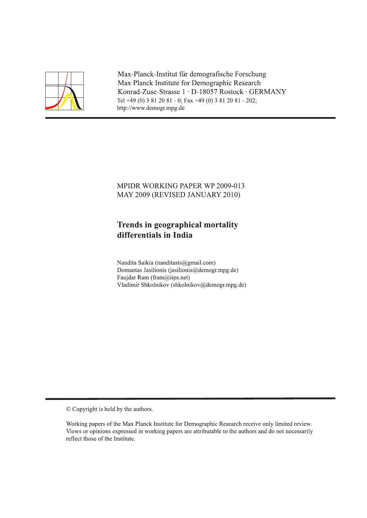

Max-Planck-Institut für demografische Forschung Max Planck Institute for Demographic Research Konrad-Zuse-Strasse 1 · D-18057 Rostock · GERMANY Tel +49 (0) 3 81 20 81 - 0; Fax +49 (0) 3 81 20 81 - 202; http://www.demogr.mpg.de

# MPIDR WORKING PAPER WP 2009-013 MAY 2009 (REVISED JANUARY 2010)

# **Trends in geographical mortality** differentials in India

Nandita Saikia (nanditasts@gmail.com) Domantas Jasilionis (jasilionis@demogr.mpg.de) Faujdar Ram (fram@iips.net) Vladimir Shkolnikov (shkolnikov@demogr.mpg.de)

© Copyright is held by the authors.

Working papers of the Max Planck Institute for Demographic Research receive only limited review. Views or opinions expressed in working papers are attributable to the authors and do not necessarily reflect those of the Institute.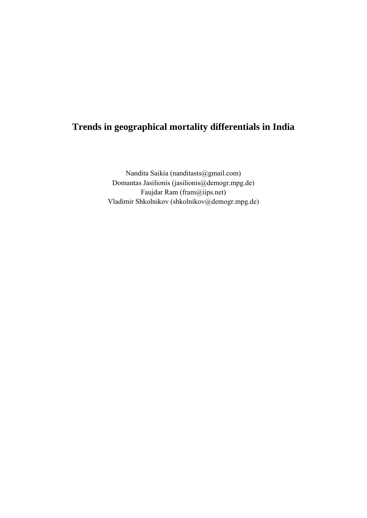# **Trends in geographical mortality differentials in India**

Nandita Saikia (nanditasts@gmail.com) Domantas Jasilionis (jasilionis@demogr.mpg.de) Faujdar Ram (fram@iips.net) Vladimir Shkolnikov (shkolnikov@demogr.mpg.de)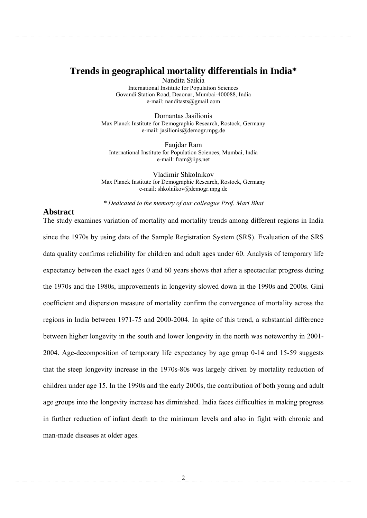# **Trends in geographical mortality differentials in India\***

Nandita Saikia International Institute for Population Sciences Govandi Station Road, Deaonar, Mumbai-400088, India e-mail: nanditasts@gmail.com

Domantas Jasilionis Max Planck Institute for Demographic Research, Rostock, Germany e-mail: jasilionis@demogr.mpg.de

Faujdar Ram International Institute for Population Sciences, Mumbai, India e-mail: fram@iips.net

Vladimir Shkolnikov Max Planck Institute for Demographic Research, Rostock, Germany e-mail: shkolnikov@demogr.mpg.de

*\* Dedicated to the memory of our colleague Prof. Mari Bhat* 

# **Abstract**

The study examines variation of mortality and mortality trends among different regions in India since the 1970s by using data of the Sample Registration System (SRS). Evaluation of the SRS data quality confirms reliability for children and adult ages under 60. Analysis of temporary life expectancy between the exact ages 0 and 60 years shows that after a spectacular progress during the 1970s and the 1980s, improvements in longevity slowed down in the 1990s and 2000s. Gini coefficient and dispersion measure of mortality confirm the convergence of mortality across the regions in India between 1971-75 and 2000-2004. In spite of this trend, a substantial difference between higher longevity in the south and lower longevity in the north was noteworthy in 2001- 2004. Age-decomposition of temporary life expectancy by age group 0-14 and 15-59 suggests that the steep longevity increase in the 1970s-80s was largely driven by mortality reduction of children under age 15. In the 1990s and the early 2000s, the contribution of both young and adult age groups into the longevity increase has diminished. India faces difficulties in making progress in further reduction of infant death to the minimum levels and also in fight with chronic and man-made diseases at older ages.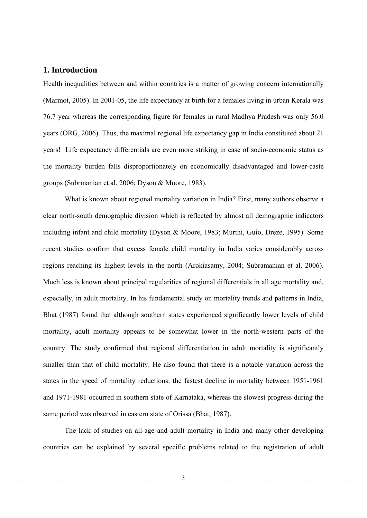# **1. Introduction**

Health inequalities between and within countries is a matter of growing concern internationally (Marmot, 2005). In 2001-05, the life expectancy at birth for a females living in urban Kerala was 76.7 year whereas the corresponding figure for females in rural Madhya Pradesh was only 56.0 years (ORG, 2006). Thus, the maximal regional life expectancy gap in India constituted about 21 years! Life expectancy differentials are even more striking in case of socio-economic status as the mortality burden falls disproportionately on economically disadvantaged and lower-caste groups (Subrmanian et al. 2006; Dyson & Moore, 1983).

What is known about regional mortality variation in India? First, many authors observe a clear north-south demographic division which is reflected by almost all demographic indicators including infant and child mortality (Dyson & Moore, 1983; Murthi, Guio, Dreze, 1995). Some recent studies confirm that excess female child mortality in India varies considerably across regions reaching its highest levels in the north (Arokiasamy, 2004; Subramanian et al. 2006). Much less is known about principal regularities of regional differentials in all age mortality and, especially, in adult mortality. In his fundamental study on mortality trends and patterns in India, Bhat (1987) found that although southern states experienced significantly lower levels of child mortality, adult mortality appears to be somewhat lower in the north-western parts of the country. The study confirmed that regional differentiation in adult mortality is significantly smaller than that of child mortality. He also found that there is a notable variation across the states in the speed of mortality reductions: the fastest decline in mortality between 1951-1961 and 1971-1981 occurred in southern state of Karnataka, whereas the slowest progress during the same period was observed in eastern state of Orissa (Bhat, 1987).

The lack of studies on all-age and adult mortality in India and many other developing countries can be explained by several specific problems related to the registration of adult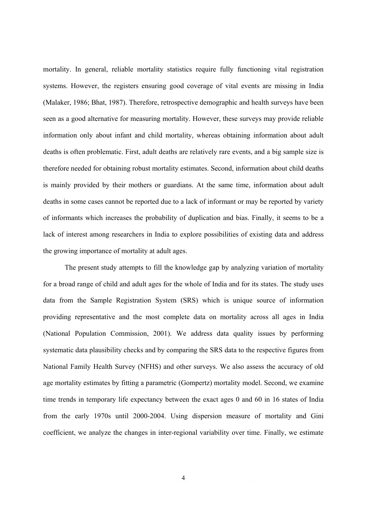mortality. In general, reliable mortality statistics require fully functioning vital registration systems. However, the registers ensuring good coverage of vital events are missing in India (Malaker, 1986; Bhat, 1987). Therefore, retrospective demographic and health surveys have been seen as a good alternative for measuring mortality. However, these surveys may provide reliable information only about infant and child mortality, whereas obtaining information about adult deaths is often problematic. First, adult deaths are relatively rare events, and a big sample size is therefore needed for obtaining robust mortality estimates. Second, information about child deaths is mainly provided by their mothers or guardians. At the same time, information about adult deaths in some cases cannot be reported due to a lack of informant or may be reported by variety of informants which increases the probability of duplication and bias. Finally, it seems to be a lack of interest among researchers in India to explore possibilities of existing data and address the growing importance of mortality at adult ages.

The present study attempts to fill the knowledge gap by analyzing variation of mortality for a broad range of child and adult ages for the whole of India and for its states. The study uses data from the Sample Registration System (SRS) which is unique source of information providing representative and the most complete data on mortality across all ages in India (National Population Commission, 2001). We address data quality issues by performing systematic data plausibility checks and by comparing the SRS data to the respective figures from National Family Health Survey (NFHS) and other surveys. We also assess the accuracy of old age mortality estimates by fitting a parametric (Gompertz) mortality model. Second, we examine time trends in temporary life expectancy between the exact ages 0 and 60 in 16 states of India from the early 1970s until 2000-2004. Using dispersion measure of mortality and Gini coefficient, we analyze the changes in inter-regional variability over time. Finally, we estimate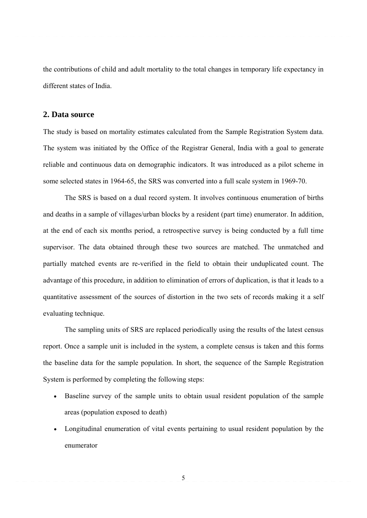the contributions of child and adult mortality to the total changes in temporary life expectancy in different states of India.

# **2. Data source**

The study is based on mortality estimates calculated from the Sample Registration System data. The system was initiated by the Office of the Registrar General, India with a goal to generate reliable and continuous data on demographic indicators. It was introduced as a pilot scheme in some selected states in 1964-65, the SRS was converted into a full scale system in 1969-70.

The SRS is based on a dual record system. It involves continuous enumeration of births and deaths in a sample of villages/urban blocks by a resident (part time) enumerator. In addition, at the end of each six months period, a retrospective survey is being conducted by a full time supervisor. The data obtained through these two sources are matched. The unmatched and partially matched events are re-verified in the field to obtain their unduplicated count. The advantage of this procedure, in addition to elimination of errors of duplication, is that it leads to a quantitative assessment of the sources of distortion in the two sets of records making it a self evaluating technique.

The sampling units of SRS are replaced periodically using the results of the latest census report. Once a sample unit is included in the system, a complete census is taken and this forms the baseline data for the sample population. In short, the sequence of the Sample Registration System is performed by completing the following steps:

- Baseline survey of the sample units to obtain usual resident population of the sample areas (population exposed to death)
- Longitudinal enumeration of vital events pertaining to usual resident population by the enumerator

5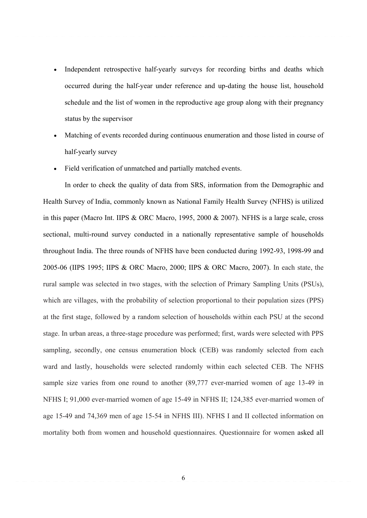- Independent retrospective half-yearly surveys for recording births and deaths which occurred during the half-year under reference and up-dating the house list, household schedule and the list of women in the reproductive age group along with their pregnancy status by the supervisor
- Matching of events recorded during continuous enumeration and those listed in course of half-yearly survey
- Field verification of unmatched and partially matched events.

In order to check the quality of data from SRS, information from the Demographic and Health Survey of India, commonly known as National Family Health Survey (NFHS) is utilized in this paper (Macro Int. IIPS & ORC Macro, 1995, 2000 & 2007). NFHS is a large scale, cross sectional, multi-round survey conducted in a nationally representative sample of households throughout India. The three rounds of NFHS have been conducted during 1992-93, 1998-99 and 2005-06 (IIPS 1995; IIPS & ORC Macro, 2000; IIPS & ORC Macro, 2007). In each state, the rural sample was selected in two stages, with the selection of Primary Sampling Units (PSUs), which are villages, with the probability of selection proportional to their population sizes (PPS) at the first stage, followed by a random selection of households within each PSU at the second stage. In urban areas, a three-stage procedure was performed; first, wards were selected with PPS sampling, secondly, one census enumeration block (CEB) was randomly selected from each ward and lastly, households were selected randomly within each selected CEB. The NFHS sample size varies from one round to another (89,777 ever-married women of age 13-49 in NFHS I; 91,000 ever-married women of age 15-49 in NFHS II; 124,385 ever-married women of age 15-49 and 74,369 men of age 15-54 in NFHS III). NFHS I and II collected information on mortality both from women and household questionnaires. Questionnaire for women asked all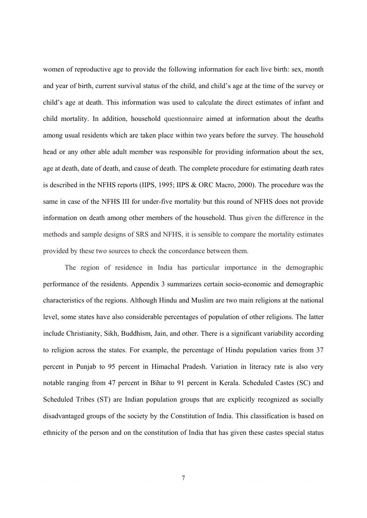women of reproductive age to provide the following information for each live birth: sex, month and year of birth, current survival status of the child, and child's age at the time of the survey or child's age at death. This information was used to calculate the direct estimates of infant and child mortality. In addition, household questionnaire aimed at information about the deaths among usual residents which are taken place within two years before the survey. The household head or any other able adult member was responsible for providing information about the sex, age at death, date of death, and cause of death. The complete procedure for estimating death rates is described in the NFHS reports (IIPS, 1995; IIPS & ORC Macro, 2000). The procedure was the same in case of the NFHS III for under-five mortality but this round of NFHS does not provide information on death among other members of the household. Thus given the difference in the methods and sample designs of SRS and NFHS, it is sensible to compare the mortality estimates provided by these two sources to check the concordance between them.

The region of residence in India has particular importance in the demographic performance of the residents. Appendix 3 summarizes certain socio-economic and demographic characteristics of the regions. Although Hindu and Muslim are two main religions at the national level, some states have also considerable percentages of population of other religions. The latter include Christianity, Sikh, Buddhism, Jain, and other. There is a significant variability according to religion across the states. For example, the percentage of Hindu population varies from 37 percent in Punjab to 95 percent in Himachal Pradesh. Variation in literacy rate is also very notable ranging from 47 percent in Bihar to 91 percent in Kerala. Scheduled Castes (SC) and Scheduled Tribes (ST) are Indian population groups that are explicitly recognized as socially disadvantaged groups of the society by the Constitution of India. This classification is based on ethnicity of the person and on the constitution of India that has given these castes special status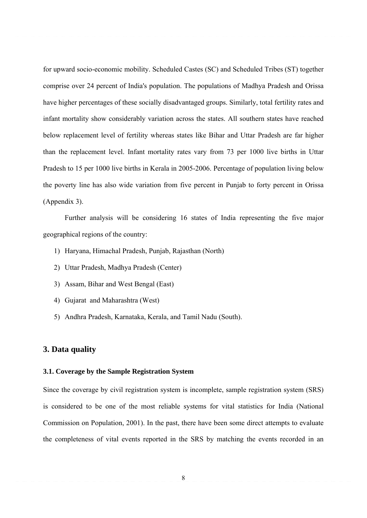for upward socio-economic mobility. Scheduled Castes (SC) and Scheduled Tribes (ST) together comprise over 24 percent of India's population. The populations of Madhya Pradesh and Orissa have higher percentages of these socially disadvantaged groups. Similarly, total fertility rates and infant mortality show considerably variation across the states. All southern states have reached below replacement level of fertility whereas states like Bihar and Uttar Pradesh are far higher than the replacement level. Infant mortality rates vary from 73 per 1000 live births in Uttar Pradesh to 15 per 1000 live births in Kerala in 2005-2006. Percentage of population living below the poverty line has also wide variation from five percent in Punjab to forty percent in Orissa (Appendix 3).

Further analysis will be considering 16 states of India representing the five major geographical regions of the country:

- 1) Haryana, Himachal Pradesh, Punjab, Rajasthan (North)
- 2) Uttar Pradesh, Madhya Pradesh (Center)
- 3) Assam, Bihar and West Bengal (East)
- 4) Gujarat and Maharashtra (West)
- 5) Andhra Pradesh, Karnataka, Kerala, and Tamil Nadu (South).

# **3. Data quality**

## **3.1. Coverage by the Sample Registration System**

Since the coverage by civil registration system is incomplete, sample registration system (SRS) is considered to be one of the most reliable systems for vital statistics for India (National Commission on Population, 2001). In the past, there have been some direct attempts to evaluate the completeness of vital events reported in the SRS by matching the events recorded in an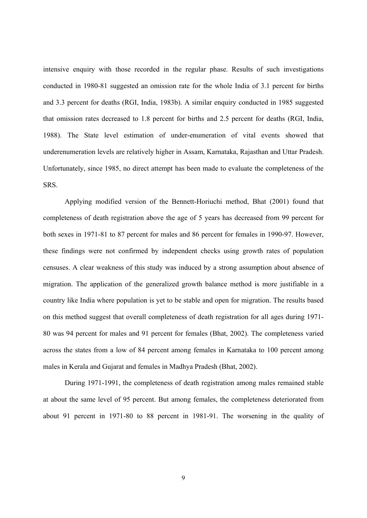intensive enquiry with those recorded in the regular phase. Results of such investigations conducted in 1980-81 suggested an omission rate for the whole India of 3.1 percent for births and 3.3 percent for deaths (RGI, India, 1983b). A similar enquiry conducted in 1985 suggested that omission rates decreased to 1.8 percent for births and 2.5 percent for deaths (RGI, India, 1988). The State level estimation of under-enumeration of vital events showed that underenumeration levels are relatively higher in Assam, Karnataka, Rajasthan and Uttar Pradesh. Unfortunately, since 1985, no direct attempt has been made to evaluate the completeness of the SRS.

Applying modified version of the Bennett-Horiuchi method, Bhat (2001) found that completeness of death registration above the age of 5 years has decreased from 99 percent for both sexes in 1971-81 to 87 percent for males and 86 percent for females in 1990-97. However, these findings were not confirmed by independent checks using growth rates of population censuses. A clear weakness of this study was induced by a strong assumption about absence of migration. The application of the generalized growth balance method is more justifiable in a country like India where population is yet to be stable and open for migration. The results based on this method suggest that overall completeness of death registration for all ages during 1971- 80 was 94 percent for males and 91 percent for females (Bhat, 2002). The completeness varied across the states from a low of 84 percent among females in Karnataka to 100 percent among males in Kerala and Gujarat and females in Madhya Pradesh (Bhat, 2002).

During 1971-1991, the completeness of death registration among males remained stable at about the same level of 95 percent. But among females, the completeness deteriorated from about 91 percent in 1971-80 to 88 percent in 1981-91. The worsening in the quality of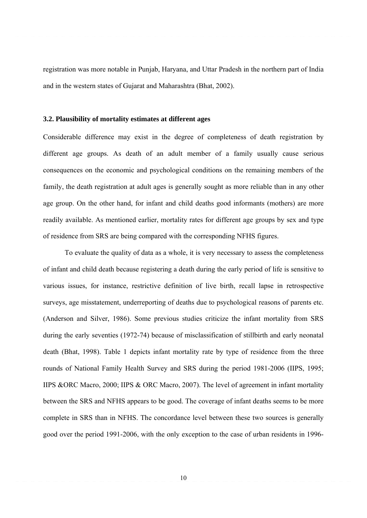registration was more notable in Punjab, Haryana, and Uttar Pradesh in the northern part of India and in the western states of Gujarat and Maharashtra (Bhat, 2002).

#### **3.2. Plausibility of mortality estimates at different ages**

Considerable difference may exist in the degree of completeness of death registration by different age groups. As death of an adult member of a family usually cause serious consequences on the economic and psychological conditions on the remaining members of the family, the death registration at adult ages is generally sought as more reliable than in any other age group. On the other hand, for infant and child deaths good informants (mothers) are more readily available. As mentioned earlier, mortality rates for different age groups by sex and type of residence from SRS are being compared with the corresponding NFHS figures.

 To evaluate the quality of data as a whole, it is very necessary to assess the completeness of infant and child death because registering a death during the early period of life is sensitive to various issues, for instance, restrictive definition of live birth, recall lapse in retrospective surveys, age misstatement, underreporting of deaths due to psychological reasons of parents etc. (Anderson and Silver, 1986). Some previous studies criticize the infant mortality from SRS during the early seventies (1972-74) because of misclassification of stillbirth and early neonatal death (Bhat, 1998). Table 1 depicts infant mortality rate by type of residence from the three rounds of National Family Health Survey and SRS during the period 1981-2006 (IIPS, 1995; IIPS &ORC Macro, 2000; IIPS & ORC Macro, 2007). The level of agreement in infant mortality between the SRS and NFHS appears to be good. The coverage of infant deaths seems to be more complete in SRS than in NFHS. The concordance level between these two sources is generally good over the period 1991-2006, with the only exception to the case of urban residents in 1996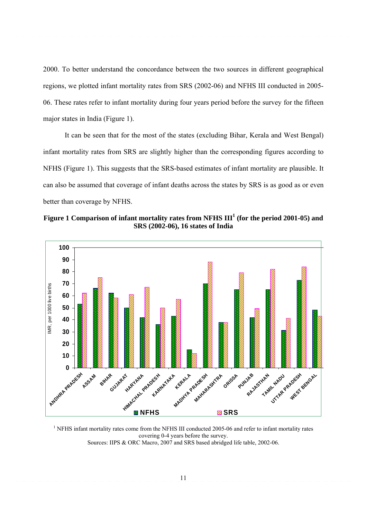2000. To better understand the concordance between the two sources in different geographical regions, we plotted infant mortality rates from SRS (2002-06) and NFHS III conducted in 2005- 06. These rates refer to infant mortality during four years period before the survey for the fifteen major states in India (Figure 1).

It can be seen that for the most of the states (excluding Bihar, Kerala and West Bengal) infant mortality rates from SRS are slightly higher than the corresponding figures according to NFHS (Figure 1). This suggests that the SRS-based estimates of infant mortality are plausible. It can also be assumed that coverage of infant deaths across the states by SRS is as good as or even better than coverage by NFHS.





<sup>1</sup> NFHS infant mortality rates come from the NFHS III conducted 2005-06 and refer to infant mortality rates covering 0-4 years before the survey. Sources: IIPS & ORC Macro, 2007 and SRS based abridged life table, 2002-06.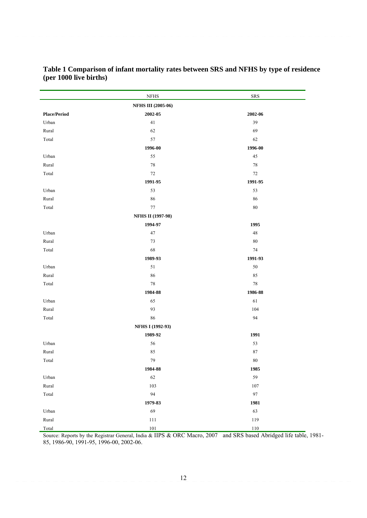|                     | <b>NFHS</b>               | <b>SRS</b> |
|---------------------|---------------------------|------------|
|                     | <b>NFHS III (2005-06)</b> |            |
| <b>Place/Period</b> | 2002-05                   | 2002-06    |
| Urban               | 41                        | 39         |
| Rural               | 62                        | 69         |
| Total               | 57                        | 62         |
|                     | 1996-00                   | 1996-00    |
| Urban               | 55                        | 45         |
| Rural               | 78                        | 78         |
| Total               | $72\,$                    | 72         |
|                     | 1991-95                   | 1991-95    |
| Urban               | 53                        | 53         |
| Rural               | 86                        | 86         |
| Total               | 77                        | 80         |
|                     | <b>NFHS II (1997-98)</b>  |            |
|                     | 1994-97                   | 1995       |
| Urban               | 47                        | 48         |
| Rural               | 73                        | 80         |
| Total               | 68                        | 74         |
|                     | 1989-93                   | 1991-93    |
| Urban               | 51                        | 50         |
| Rural               | 86                        | 85         |
| Total               | 78                        | 78         |
|                     | 1984-88                   | 1986-88    |
| Urban               | 65                        | 61         |
| Rural               | 93                        | 104        |
| Total               | 86                        | 94         |
|                     | NFHS I (1992-93)          |            |
|                     | 1989-92                   | 1991       |
| Urban               | 56                        | 53         |
| Rural               | 85                        | 87         |
| Total               | 79                        | 80         |
|                     | 1984-88                   | 1985       |
| Urban               | 62                        | 59         |
| Rural               | 103                       | 107        |
| Total               | 94                        | 97         |
|                     | 1979-83                   | 1981       |
| Urban               | 69                        | 63         |
| Rural               | 111                       | 119        |
| Total               | 101                       | $110\,$    |

**Table 1 Comparison of infant mortality rates between SRS and NFHS by type of residence (per 1000 live births)** 

Source: Reports by the Registrar General, India & IIPS & ORC Macro, 2007 and SRS based Abridged life table, 1981- 85, 1986-90, 1991-95, 1996-00, 2002-06.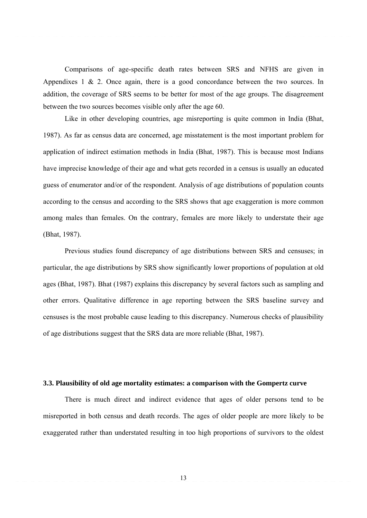Comparisons of age-specific death rates between SRS and NFHS are given in Appendixes 1 & 2. Once again, there is a good concordance between the two sources. In addition, the coverage of SRS seems to be better for most of the age groups. The disagreement between the two sources becomes visible only after the age 60.

Like in other developing countries, age misreporting is quite common in India (Bhat, 1987). As far as census data are concerned, age misstatement is the most important problem for application of indirect estimation methods in India (Bhat, 1987). This is because most Indians have imprecise knowledge of their age and what gets recorded in a census is usually an educated guess of enumerator and/or of the respondent. Analysis of age distributions of population counts according to the census and according to the SRS shows that age exaggeration is more common among males than females. On the contrary, females are more likely to understate their age (Bhat, 1987).

Previous studies found discrepancy of age distributions between SRS and censuses; in particular, the age distributions by SRS show significantly lower proportions of population at old ages (Bhat, 1987). Bhat (1987) explains this discrepancy by several factors such as sampling and other errors. Qualitative difference in age reporting between the SRS baseline survey and censuses is the most probable cause leading to this discrepancy. Numerous checks of plausibility of age distributions suggest that the SRS data are more reliable (Bhat, 1987).

#### **3.3. Plausibility of old age mortality estimates: a comparison with the Gompertz curve**

There is much direct and indirect evidence that ages of older persons tend to be misreported in both census and death records. The ages of older people are more likely to be exaggerated rather than understated resulting in too high proportions of survivors to the oldest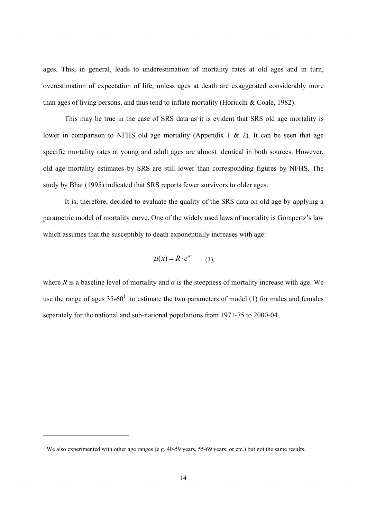ages. This, in general, leads to underestimation of mortality rates at old ages and in turn, overestimation of expectation of life, unless ages at death are exaggerated considerably more than ages of living persons, and thus tend to inflate mortality (Horiuchi & Coale, 1982).

This may be true in the case of SRS data as it is evident that SRS old age mortality is lower in comparison to NFHS old age mortality (Appendix 1 & 2). It can be seen that age specific mortality rates at young and adult ages are almost identical in both sources. However, old age mortality estimates by SRS are still lower than corresponding figures by NFHS. The study by Bhat (1995) indicated that SRS reports fewer survivors to older ages.

It is, therefore, decided to evaluate the quality of the SRS data on old age by applying a parametric model of mortality curve. One of the widely used laws of mortality is Gompertz's law which assumes that the susceptibly to death exponentially increases with age:

$$
\mu(x) = R \cdot e^{ax} \qquad (1),
$$

where *R* is a baseline level of mortality and  $\alpha$  is the steepness of mortality increase with age. We use the range of ages  $35{\text -}60^1$  to estimate the two parameters of model (1) for males and females separately for the national and sub-national populations from 1971-75 to 2000-04.

<u> Andrew Maria (1989)</u>

<sup>&</sup>lt;sup>1</sup> We also experimented with other age ranges (e.g. 40-59 years, 55-69 years, or etc.) but got the same results.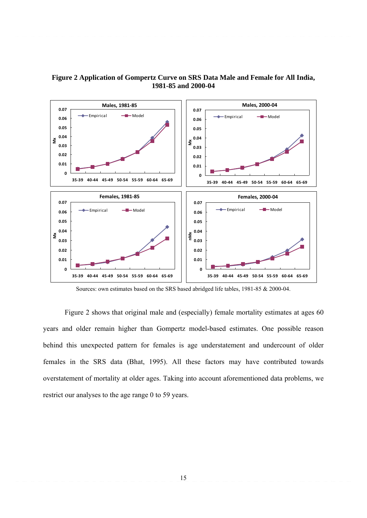

# **Figure 2 Application of Gompertz Curve on SRS Data Male and Female for All India, 1981-85 and 2000-04**

Sources: own estimates based on the SRS based abridged life tables, 1981-85 & 2000-04.

 Figure 2 shows that original male and (especially) female mortality estimates at ages 60 years and older remain higher than Gompertz model-based estimates. One possible reason behind this unexpected pattern for females is age understatement and undercount of older females in the SRS data (Bhat, 1995). All these factors may have contributed towards overstatement of mortality at older ages. Taking into account aforementioned data problems, we restrict our analyses to the age range 0 to 59 years.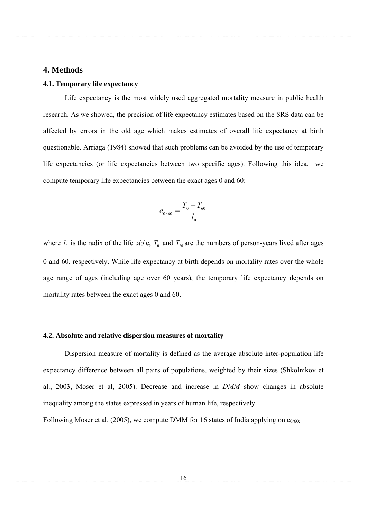#### **4. Methods**

# **4.1. Temporary life expectancy**

Life expectancy is the most widely used aggregated mortality measure in public health research. As we showed, the precision of life expectancy estimates based on the SRS data can be affected by errors in the old age which makes estimates of overall life expectancy at birth questionable. Arriaga (1984) showed that such problems can be avoided by the use of temporary life expectancies (or life expectancies between two specific ages). Following this idea, we compute temporary life expectancies between the exact ages 0 and 60:

$$
e_{0/60} = \frac{T_0 - T_{60}}{l_0}
$$

where  $l_0$  is the radix of the life table,  $T_0$  and  $T_{60}$  are the numbers of person-years lived after ages 0 and 60, respectively. While life expectancy at birth depends on mortality rates over the whole age range of ages (including age over 60 years), the temporary life expectancy depends on mortality rates between the exact ages 0 and 60.

#### **4.2. Absolute and relative dispersion measures of mortality**

Dispersion measure of mortality is defined as the average absolute inter-population life expectancy difference between all pairs of populations, weighted by their sizes (Shkolnikov et al., 2003, Moser et al, 2005). Decrease and increase in *DMM* show changes in absolute inequality among the states expressed in years of human life, respectively.

Following Moser et al. (2005), we compute DMM for 16 states of India applying on  $e_{0/60}$ .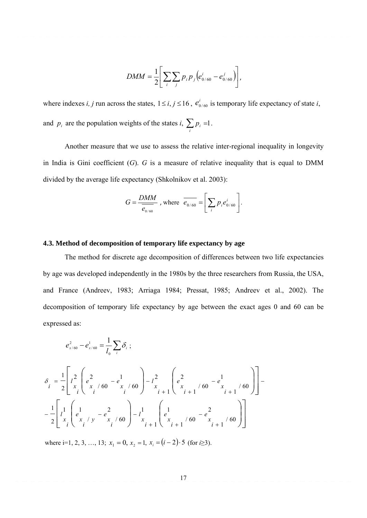$$
DMM = \frac{1}{2} \left[ \sum_{i} \sum_{j} p_{i} p_{j} \left( e_{0/60}^{i} - e_{0/60}^{j} \right) \right],
$$

where indexes *i, j* run across the states,  $1 \le i, j \le 16$ ,  $e_{0/60}^i$  is temporary life expectancy of state *i*, and  $p_i$  are the population weights of the states *i*,  $\sum_i p_i = 1$ .

 Another measure that we use to assess the relative inter-regional inequality in longevity in India is Gini coefficient (*G*). *G* is a measure of relative inequality that is equal to DMM divided by the average life expectancy (Shkolnikov et al. 2003):

$$
G = \frac{DMM}{e_{0/60}} \text{ , where } \overline{e_{0/60}} = \left[ \sum_i p_i e_{0/60}^i \right].
$$

#### **4.3. Method of decomposition of temporary life expectancy by age**

The method for discrete age decomposition of differences between two life expectancies by age was developed independently in the 1980s by the three researchers from Russia, the USA, and France (Andreev, 1983; Arriaga 1984; Pressat, 1985; Andreev et al., 2002). The decomposition of temporary life expectancy by age between the exact ages 0 and 60 can be expressed as:

$$
e_{x/60}^2 - e_{x/60}^1 = \frac{1}{l_0} \sum_i \delta_i ;
$$

$$
\delta_{i} = \frac{1}{2} \left[ l \frac{2}{x} \left( e^{2} \frac{1}{x} \left( 60 - e^{2} \frac{1}{x} \right) - l \frac{2}{x} \left( e^{2} \frac{1}{x} \right) - l \frac{2}{x} \left( e^{2} \frac{1}{x} \right) - l \frac{1}{x} \left( e^{2} \frac{1}{x} \right) - l \frac{1}{x} \left( e^{2} \frac{1}{x} \left( 60 - e^{2} \frac{1}{x} \right) \right) - l \frac{1}{x} \left( e^{2} \frac{1}{x} \left( e^{2} \frac{1}{x} \right) - l \frac{1}{x} \left( e^{2} \frac{1}{x} \right) - l \frac{1}{x} \left( e^{2} \frac{1}{x} \right) - l \frac{1}{x} \left( e^{2} \frac{1}{x} \right) - l \frac{1}{x} \left( e^{2} \frac{1}{x} \right) - l \frac{1}{x} \left( e^{2} \frac{1}{x} \right) - l \frac{1}{x} \left( e^{2} \frac{1}{x} \right) - l \frac{1}{x} \left( e^{2} \frac{1}{x} \right) - l \frac{1}{x} \left( e^{2} \frac{1}{x} \right) - l \frac{1}{x} \left( e^{2} \frac{1}{x} \right) - l \frac{1}{x} \left( e^{2} \frac{1}{x} \right) - l \frac{1}{x} \left( e^{2} \frac{1}{x} \right) - l \frac{1}{x} \left( e^{2} \frac{1}{x} \right) - l \frac{1}{x} \left( e^{2} \frac{1}{x} \right) - l \frac{1}{x} \left( e^{2} \frac{1}{x} \right) - l \frac{1}{x} \left( e^{2} \frac{1}{x} \right) - l \frac{1}{x} \left( e^{2} \frac{1}{x} \right) - l \frac{1}{x} \left( e^{2} \frac{1}{x} \right) - l \frac{1}{x} \left( e^{2} \frac{1}{x} \right) - l \frac{1}{x} \left( e^{2} \frac{1}{x} \right) - l \frac{1}{x} \left( e^{2} \frac{1}{x} \right) - l \frac{1}{x} \left( e^{2}
$$

where i=1, 2, 3, …, 13;  $x_1 = 0$ ,  $x_2 = 1$ ,  $x_i = (i - 2) \cdot 5$  (for *i*≥3).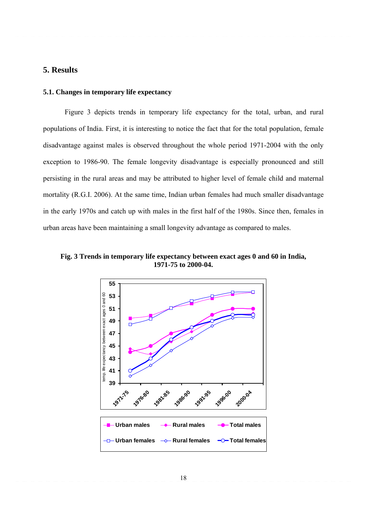# **5. Results**

# **5.1. Changes in temporary life expectancy**

 Figure 3 depicts trends in temporary life expectancy for the total, urban, and rural populations of India. First, it is interesting to notice the fact that for the total population, female disadvantage against males is observed throughout the whole period 1971-2004 with the only exception to 1986-90. The female longevity disadvantage is especially pronounced and still persisting in the rural areas and may be attributed to higher level of female child and maternal mortality (R.G.I. 2006). At the same time, Indian urban females had much smaller disadvantage in the early 1970s and catch up with males in the first half of the 1980s. Since then, females in urban areas have been maintaining a small longevity advantage as compared to males.

**Fig. 3 Trends in temporary life expectancy between exact ages 0 and 60 in India, 1971-75 to 2000-04.** 

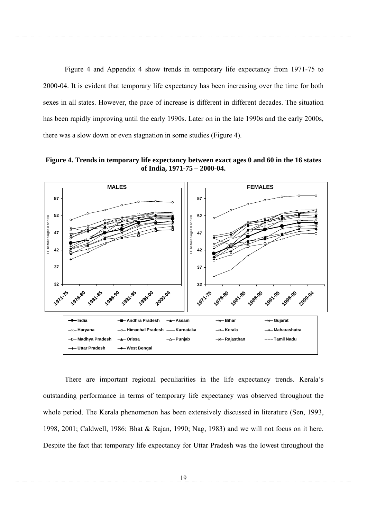Figure 4 and Appendix 4 show trends in temporary life expectancy from 1971-75 to 2000-04. It is evident that temporary life expectancy has been increasing over the time for both sexes in all states. However, the pace of increase is different in different decades. The situation has been rapidly improving until the early 1990s. Later on in the late 1990s and the early 2000s, there was a slow down or even stagnation in some studies (Figure 4).

**Figure 4. Trends in temporary life expectancy between exact ages 0 and 60 in the 16 states of India, 1971-75 – 2000-04.** 



There are important regional peculiarities in the life expectancy trends. Kerala's outstanding performance in terms of temporary life expectancy was observed throughout the whole period. The Kerala phenomenon has been extensively discussed in literature (Sen, 1993, 1998, 2001; Caldwell, 1986; Bhat & Rajan, 1990; Nag, 1983) and we will not focus on it here. Despite the fact that temporary life expectancy for Uttar Pradesh was the lowest throughout the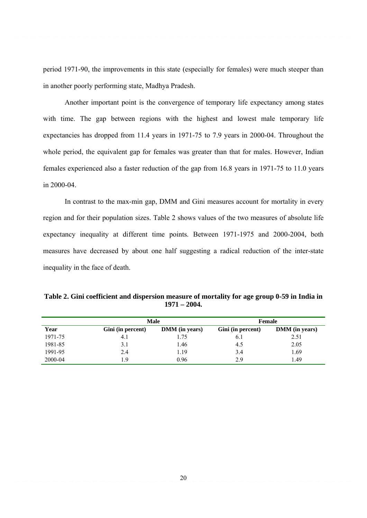period 1971-90, the improvements in this state (especially for females) were much steeper than in another poorly performing state, Madhya Pradesh.

Another important point is the convergence of temporary life expectancy among states with time. The gap between regions with the highest and lowest male temporary life expectancies has dropped from 11.4 years in 1971-75 to 7.9 years in 2000-04. Throughout the whole period, the equivalent gap for females was greater than that for males. However, Indian females experienced also a faster reduction of the gap from 16.8 years in 1971-75 to 11.0 years in 2000-04.

In contrast to the max-min gap, DMM and Gini measures account for mortality in every region and for their population sizes. Table 2 shows values of the two measures of absolute life expectancy inequality at different time points. Between 1971-1975 and 2000-2004, both measures have decreased by about one half suggesting a radical reduction of the inter-state inequality in the face of death.

| Table 2. Gini coefficient and dispersion measure of mortality for age group 0-59 in India in |
|----------------------------------------------------------------------------------------------|
| $1971 - 2004.$                                                                               |

|         |                   | <b>Male</b>           | Female            |                       |  |  |  |
|---------|-------------------|-----------------------|-------------------|-----------------------|--|--|--|
| Year    | Gini (in percent) | <b>DMM</b> (in years) | Gini (in percent) | <b>DMM</b> (in years) |  |  |  |
| 1971-75 | 4.1               | 1.75                  | 0.1               | 2.51                  |  |  |  |
| 1981-85 | 3.1               | 1.46                  | 4.5               | 2.05                  |  |  |  |
| 1991-95 | 2.4               | 1.19                  | 3.4               | .69                   |  |  |  |
| 2000-04 | ∣.9               | 0.96                  | 2.9               | .49                   |  |  |  |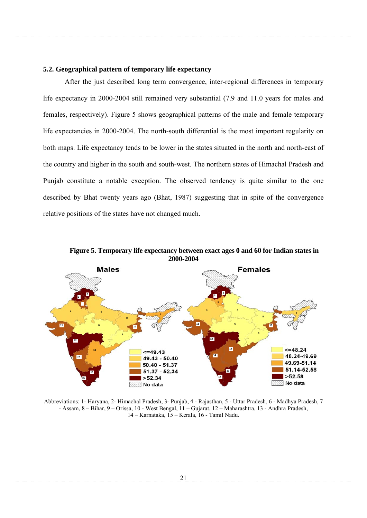#### **5.2. Geographical pattern of temporary life expectancy**

 After the just described long term convergence, inter-regional differences in temporary life expectancy in 2000-2004 still remained very substantial (7.9 and 11.0 years for males and females, respectively). Figure 5 shows geographical patterns of the male and female temporary life expectancies in 2000-2004. The north-south differential is the most important regularity on both maps. Life expectancy tends to be lower in the states situated in the north and north-east of the country and higher in the south and south-west. The northern states of Himachal Pradesh and Punjab constitute a notable exception. The observed tendency is quite similar to the one described by Bhat twenty years ago (Bhat, 1987) suggesting that in spite of the convergence relative positions of the states have not changed much.



**Figure 5. Temporary life expectancy between exact ages 0 and 60 for Indian states in** 

Abbreviations: 1- Haryana, 2- Himachal Pradesh, 3- Punjab, 4 - Rajasthan, 5 - Uttar Pradesh, 6 - Madhya Pradesh, 7 - Assam, 8 – Bihar, 9 – Orissa, 10 - West Bengal, 11 – Gujarat, 12 – Maharashtra, 13 - Andhra Pradesh, 14 – Karnataka, 15 – Kerala, 16 - Tamil Nadu.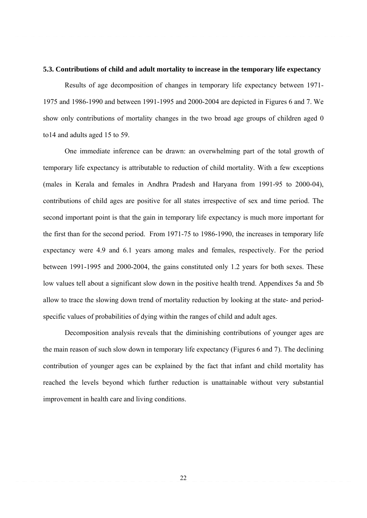#### **5.3. Contributions of child and adult mortality to increase in the temporary life expectancy**

Results of age decomposition of changes in temporary life expectancy between 1971- 1975 and 1986-1990 and between 1991-1995 and 2000-2004 are depicted in Figures 6 and 7. We show only contributions of mortality changes in the two broad age groups of children aged 0 to14 and adults aged 15 to 59.

One immediate inference can be drawn: an overwhelming part of the total growth of temporary life expectancy is attributable to reduction of child mortality. With a few exceptions (males in Kerala and females in Andhra Pradesh and Haryana from 1991-95 to 2000-04), contributions of child ages are positive for all states irrespective of sex and time period. The second important point is that the gain in temporary life expectancy is much more important for the first than for the second period. From 1971-75 to 1986-1990, the increases in temporary life expectancy were 4.9 and 6.1 years among males and females, respectively. For the period between 1991-1995 and 2000-2004, the gains constituted only 1.2 years for both sexes. These low values tell about a significant slow down in the positive health trend. Appendixes 5a and 5b allow to trace the slowing down trend of mortality reduction by looking at the state- and periodspecific values of probabilities of dying within the ranges of child and adult ages.

Decomposition analysis reveals that the diminishing contributions of younger ages are the main reason of such slow down in temporary life expectancy (Figures 6 and 7). The declining contribution of younger ages can be explained by the fact that infant and child mortality has reached the levels beyond which further reduction is unattainable without very substantial improvement in health care and living conditions.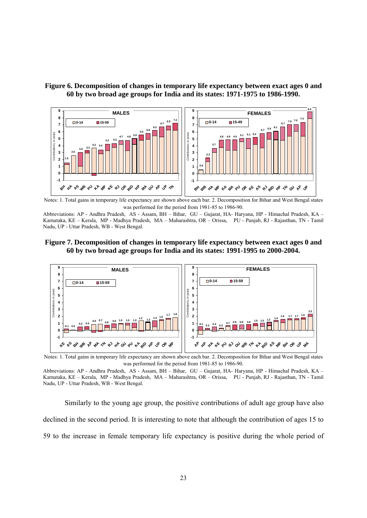



Notes: 1. Total gains in temporary life expectancy are shown above each bar. 2. Decomposition for Bihar and West Bengal states was performed for the period from 1981-85 to 1986-90.

Abbreviations: AP - Andhra Pradesh, AS - Assam, BH – Bihar, GU – Gujarat, HA- Haryana, HP - Himachal Pradesh, KA – Karnataka, KE – Kerala, MP - Madhya Pradesh, MA – Maharashtra, OR – Orissa, PU - Punjab, RJ - Rajasthan, TN - Tamil Nadu, UP - Uttar Pradesh, WB - West Bengal.

# **Figure 7. Decomposition of changes in temporary life expectancy between exact ages 0 and 60 by two broad age groups for India and its states: 1991-1995 to 2000-2004.**



Notes: 1. Total gains in temporary life expectancy are shown above each bar. 2. Decomposition for Bihar and West Bengal states was performed for the period from 1981-85 to 1986-90.

Abbreviations: AP - Andhra Pradesh, AS - Assam, BH – Bihar, GU – Gujarat, HA- Haryana, HP - Himachal Pradesh, KA – Karnataka, KE – Kerala, MP - Madhya Pradesh, MA – Maharashtra, OR – Orissa, PU - Punjab, RJ - Rajasthan, TN - Tamil Nadu, UP - Uttar Pradesh, WB - West Bengal.

Similarly to the young age group, the positive contributions of adult age group have also declined in the second period. It is interesting to note that although the contribution of ages 15 to 59 to the increase in female temporary life expectancy is positive during the whole period of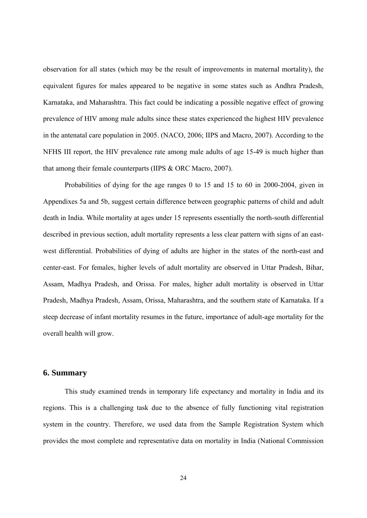observation for all states (which may be the result of improvements in maternal mortality), the equivalent figures for males appeared to be negative in some states such as Andhra Pradesh, Karnataka, and Maharashtra. This fact could be indicating a possible negative effect of growing prevalence of HIV among male adults since these states experienced the highest HIV prevalence in the antenatal care population in 2005. (NACO, 2006; IIPS and Macro, 2007). According to the NFHS III report, the HIV prevalence rate among male adults of age 15-49 is much higher than that among their female counterparts (IIPS & ORC Macro, 2007).

Probabilities of dying for the age ranges 0 to 15 and 15 to 60 in 2000-2004, given in Appendixes 5a and 5b, suggest certain difference between geographic patterns of child and adult death in India. While mortality at ages under 15 represents essentially the north-south differential described in previous section, adult mortality represents a less clear pattern with signs of an eastwest differential. Probabilities of dying of adults are higher in the states of the north-east and center-east. For females, higher levels of adult mortality are observed in Uttar Pradesh, Bihar, Assam, Madhya Pradesh, and Orissa. For males, higher adult mortality is observed in Uttar Pradesh, Madhya Pradesh, Assam, Orissa, Maharashtra, and the southern state of Karnataka. If a steep decrease of infant mortality resumes in the future, importance of adult-age mortality for the overall health will grow.

#### **6. Summary**

This study examined trends in temporary life expectancy and mortality in India and its regions. This is a challenging task due to the absence of fully functioning vital registration system in the country. Therefore, we used data from the Sample Registration System which provides the most complete and representative data on mortality in India (National Commission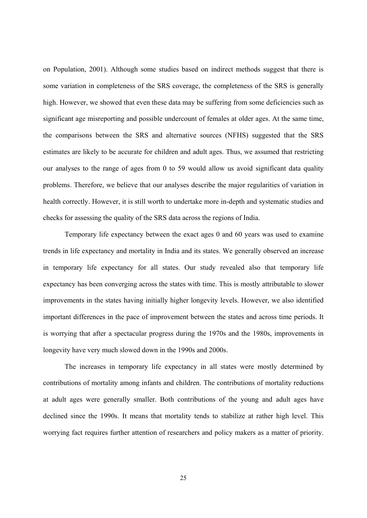on Population, 2001). Although some studies based on indirect methods suggest that there is some variation in completeness of the SRS coverage, the completeness of the SRS is generally high. However, we showed that even these data may be suffering from some deficiencies such as significant age misreporting and possible undercount of females at older ages. At the same time, the comparisons between the SRS and alternative sources (NFHS) suggested that the SRS estimates are likely to be accurate for children and adult ages. Thus, we assumed that restricting our analyses to the range of ages from 0 to 59 would allow us avoid significant data quality problems. Therefore, we believe that our analyses describe the major regularities of variation in health correctly. However, it is still worth to undertake more in-depth and systematic studies and checks for assessing the quality of the SRS data across the regions of India.

Temporary life expectancy between the exact ages 0 and 60 years was used to examine trends in life expectancy and mortality in India and its states. We generally observed an increase in temporary life expectancy for all states. Our study revealed also that temporary life expectancy has been converging across the states with time. This is mostly attributable to slower improvements in the states having initially higher longevity levels. However, we also identified important differences in the pace of improvement between the states and across time periods. It is worrying that after a spectacular progress during the 1970s and the 1980s, improvements in longevity have very much slowed down in the 1990s and 2000s.

The increases in temporary life expectancy in all states were mostly determined by contributions of mortality among infants and children. The contributions of mortality reductions at adult ages were generally smaller. Both contributions of the young and adult ages have declined since the 1990s. It means that mortality tends to stabilize at rather high level. This worrying fact requires further attention of researchers and policy makers as a matter of priority.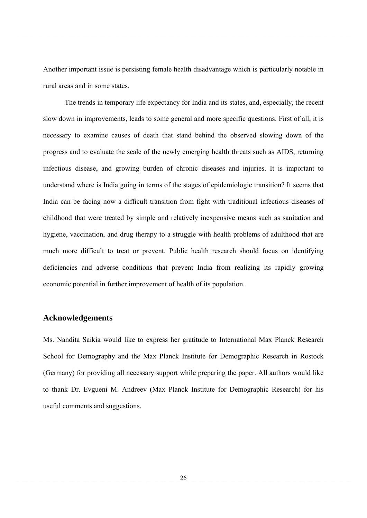Another important issue is persisting female health disadvantage which is particularly notable in rural areas and in some states.

The trends in temporary life expectancy for India and its states, and, especially, the recent slow down in improvements, leads to some general and more specific questions. First of all, it is necessary to examine causes of death that stand behind the observed slowing down of the progress and to evaluate the scale of the newly emerging health threats such as AIDS, returning infectious disease, and growing burden of chronic diseases and injuries. It is important to understand where is India going in terms of the stages of epidemiologic transition? It seems that India can be facing now a difficult transition from fight with traditional infectious diseases of childhood that were treated by simple and relatively inexpensive means such as sanitation and hygiene, vaccination, and drug therapy to a struggle with health problems of adulthood that are much more difficult to treat or prevent. Public health research should focus on identifying deficiencies and adverse conditions that prevent India from realizing its rapidly growing economic potential in further improvement of health of its population.

# **Acknowledgements**

Ms. Nandita Saikia would like to express her gratitude to International Max Planck Research School for Demography and the Max Planck Institute for Demographic Research in Rostock (Germany) for providing all necessary support while preparing the paper. All authors would like to thank Dr. Evgueni M. Andreev (Max Planck Institute for Demographic Research) for his useful comments and suggestions.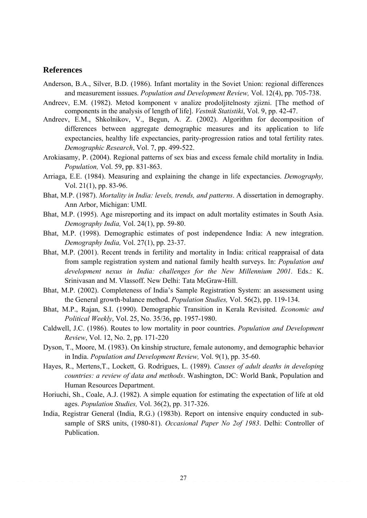# **References**

- Anderson, B.A., Silver, B.D. (1986). Infant mortality in the Soviet Union: regional differences and measurement isssues. *Population and Development Review,* Vol. 12(4), pp. 705-738.
- Andreev, E.M. (1982). Metod komponent v analize prodoljitelnosty zjizni. [The method of components in the analysis of length of life]. *Vestnik Statistiki*, Vol. 9, pp. 42-47.
- Andreev, E.M., Shkolnikov, V., Begun, A. Z. (2002). Algorithm for decomposition of differences between aggregate demographic measures and its application to life expectancies, healthy life expectancies, parity-progression ratios and total fertility rates. *Demographic Research*, Vol. 7, pp. 499-522.
- Arokiasamy, P. (2004). Regional patterns of sex bias and excess female child mortality in India. *Population,* Vol. 59, pp. 831-863.
- Arriaga, E.E. (1984). Measuring and explaining the change in life expectancies. *Demography,*  Vol. 21(1), pp. 83-96.
- Bhat, M.P. (1987). *Mortality in India: levels, trends, and patterns*. A dissertation in demography. Ann Arbor, Michigan: UMI.
- Bhat, M.P. (1995). Age misreporting and its impact on adult mortality estimates in South Asia. *Demography India,* Vol. 24(1), pp. 59-80.
- Bhat, M.P. (1998). Demographic estimates of post independence India: A new integration. *Demography India,* Vol. 27(1), pp. 23-37.
- Bhat, M.P. (2001). Recent trends in fertility and mortality in India: critical reappraisal of data from sample registration system and national family health surveys. In: *Population and development nexus in India: challenges for the New Millennium 2001.* Eds.: K. Srinivasan and M. Vlassoff. New Delhi: Tata McGraw-Hill.
- Bhat, M.P. (2002). Completeness of India's Sample Registration System: an assessment using the General growth-balance method. *Population Studies,* Vol. 56(2), pp. 119-134.
- Bhat, M.P., Rajan, S.I. (1990). Demographic Transition in Kerala Revisited. *Economic and Political Weekly*, Vol. 25, No. 35/36, pp. 1957-1980.
- Caldwell, J.C. (1986). Routes to low mortality in poor countries. *Population and Development Review*, Vol. 12, No. 2, pp. 171-220
- Dyson, T., Moore, M. (1983). On kinship structure, female autonomy, and demographic behavior in India. *Population and Development Review,* Vol. 9(1), pp. 35-60.
- Hayes, R., Mertens,T., Lockett, G. Rodrigues, L. (1989). *Causes of adult deaths in developing countries: a review of data and methods*. Washington, DC: World Bank, Population and Human Resources Department.
- Horiuchi, Sh., Coale, A.J. (1982). A simple equation for estimating the expectation of life at old ages. *Population Studies,* Vol. 36(2), pp. 317-326.
- India, Registrar General (India, R.G.) (1983b). Report on intensive enquiry conducted in subsample of SRS units, (1980-81). *Occasional Paper No 2of 1983*. Delhi: Controller of Publication.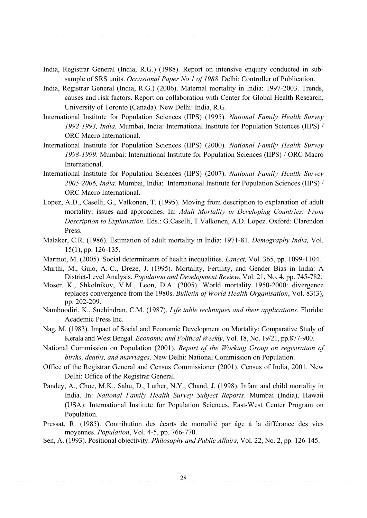- India, Registrar General (India, R.G.) (1988). Report on intensive enquiry conducted in subsample of SRS units. *Occasional Paper No 1 of 1988*. Delhi: Controller of Publication.
- India, Registrar General (India, R.G.) (2006). Maternal mortality in India: 1997-2003. Trends, causes and risk factors. Report on collaboration with Center for Global Health Research, University of Toronto (Canada). New Delhi: India, R.G.
- International Institute for Population Sciences (IIPS) (1995). *National Family Health Survey 1992-1993, India.* Mumbai, India: International Institute for Population Sciences (IIPS) / ORC Macro International.
- International Institute for Population Sciences (IIPS) (2000). *National Family Health Survey 1998-1999*. Mumbai: International Institute for Population Sciences (IIPS) / ORC Macro International.
- International Institute for Population Sciences (IIPS) (2007). *National Family Health Survey 2005-2006, India*. Mumbai, India: International Institute for Population Sciences (IIPS) / ORC Macro International.
- Lopez, A.D., Caselli, G., Valkonen, T. (1995). Moving from description to explanation of adult mortality: issues and approaches. In: *Adult Mortality in Developing Countries: From Description to Explanation.* Eds.: G.Caselli, T.Valkonen, A.D. Lopez. Oxford: Clarendon Press.
- Malaker, C.R. (1986). Estimation of adult mortality in India: 1971-81. *Demography India,* Vol. 15(1), pp. 126-135.
- Marmot, M. (2005). Social determinants of health inequalities. *Lancet,* Vol. 365, pp. 1099-1104.
- Murthi, M., Guio, A.-C., Dreze, J. (1995). Mortality, Fertility, and Gender Bias in India: A District-Level Analysis. *Population and Development Review*, Vol. 21, No. 4, pp. 745-782.
- Moser, K., Shkolnikov, V.M., Leon, D.A. (2005). World mortality 1950-2000: divergence replaces convergence from the 1980s. *Bulletin of World Health Organisation*, Vol. 83(3), pp. 202-209.
- Namboodiri, K., Suchindran, C.M. (1987). *Life table techniques and their applications*. Florida: Academic Press Inc.
- Nag, M. (1983). Impact of Social and Economic Development on Mortality: Comparative Study of Kerala and West Bengal. *Economic and Political Weekly*, Vol. 18, No. 19/21, pp.877-900.
- National Commission on Population (2001). *Report of the Working Group on registration of births, deaths, and marriages*. New Delhi: National Commission on Population.
- Office of the Registrar General and Census Commissioner (2001). Census of India, 2001. New Delhi: Office of the Registrar General.
- Pandey, A., Choe, M.K., Sahu, D., Luther, N.Y., Chand, J. (1998). Infant and child mortality in India. In: *National Family Health Survey Subject Reports*. Mumbai (India), Hawaii (USA): International Institute for Population Sciences, East-West Center Program on Population.
- Pressat, R. (1985). Contribution des écarts de mortalité par âge à la différance des vies moyennes. *Population*, Vol. 4-5, pp. 766-770.
- Sen, A. (1993). Positional objectivity. *Philosophy and Public Affairs*, Vol. 22, No. 2, pp. 126-145.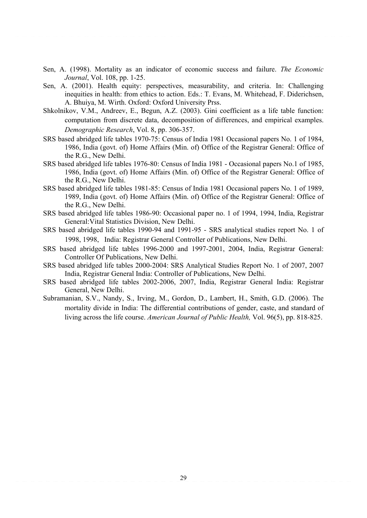- Sen, A. (1998). Mortality as an indicator of economic success and failure. *The Economic Journal*, Vol. 108, pp. 1-25.
- Sen, A. (2001). Health equity: perspectives, measurability, and criteria. In: Challenging inequities in health: from ethics to action. Eds.: T. Evans, M. Whitehead, F. Diderichsen, A. Bhuiya, M. Wirth. Oxford: Oxford University Prss.
- Shkolnikov, V.M., Andreev, E., Begun, A.Z. (2003). Gini coefficient as a life table function: computation from discrete data, decomposition of differences, and empirical examples. *Demographic Research*, Vol. 8, pp. 306-357.
- SRS based abridged life tables 1970-75: Census of India 1981 Occasional papers No. 1 of 1984, 1986, India (govt. of) Home Affairs (Min. of) Office of the Registrar General: Office of the R.G., New Delhi.
- SRS based abridged life tables 1976-80: Census of India 1981 Occasional papers No.1 of 1985, 1986, India (govt. of) Home Affairs (Min. of) Office of the Registrar General: Office of the R.G., New Delhi.
- SRS based abridged life tables 1981-85: Census of India 1981 Occasional papers No. 1 of 1989, 1989, India (govt. of) Home Affairs (Min. of) Office of the Registrar General: Office of the R.G., New Delhi.
- SRS based abridged life tables 1986-90: Occasional paper no. 1 of 1994, 1994, India, Registrar General:Vital Statistics Division, New Delhi.
- SRS based abridged life tables 1990-94 and 1991-95 SRS analytical studies report No. 1 of 1998, 1998, India: Registrar General Controller of Publications, New Delhi.
- SRS based abridged life tables 1996-2000 and 1997-2001, 2004, India, Registrar General: Controller Of Publications, New Delhi.
- SRS based abridged life tables 2000-2004: SRS Analytical Studies Report No. 1 of 2007, 2007 India, Registrar General India: Controller of Publications, New Delhi.
- SRS based abridged life tables 2002-2006, 2007, India, Registrar General India: Registrar General, New Delhi.
- Subramanian, S.V., Nandy, S., Irving, M., Gordon, D., Lambert, H., Smith, G.D. (2006). The mortality divide in India: The differential contributions of gender, caste, and standard of living across the life course. *American Journal of Public Health,* Vol. 96(5), pp. 818-825.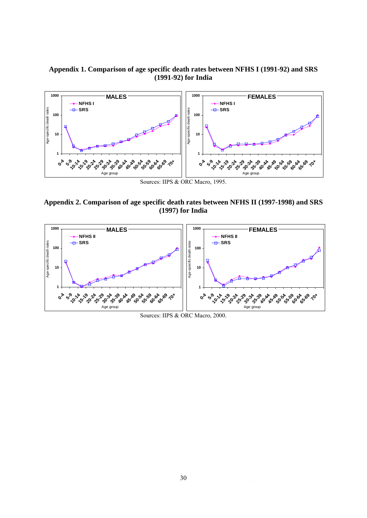# **Appendix 1. Comparison of age specific death rates between NFHS I (1991-92) and SRS (1991-92) for India**



Sources: IIPS & ORC Macro, 1995.

**Appendix 2. Comparison of age specific death rates between NFHS II (1997-1998) and SRS (1997) for India** 



Sources: IIPS & ORC Macro, 2000.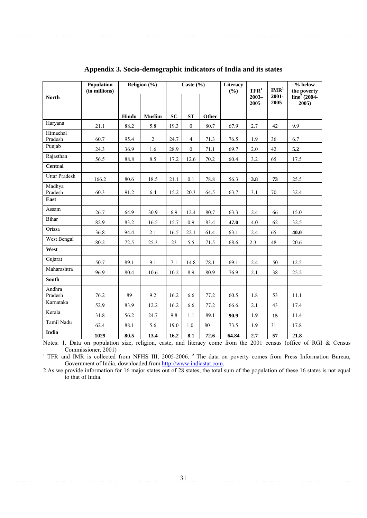|                      | Population<br>(in millions) |       | Religion (%)   |           | Caste $(\% )$    |       | Literacy<br>(%) | $TFR1$           | $\mathbf{IMR}^{1}$ | % below<br>the poverty            |  |
|----------------------|-----------------------------|-------|----------------|-----------|------------------|-------|-----------------|------------------|--------------------|-----------------------------------|--|
| <b>North</b>         |                             |       |                |           |                  |       |                 | $2003 -$<br>2005 | 2001-<br>2005      | line <sup>2</sup> (2004-<br>2005) |  |
|                      |                             | Hindu | <b>Muslim</b>  | <b>SC</b> | <b>ST</b>        | Other |                 |                  |                    |                                   |  |
| Haryana              | 21.1                        | 88.2  | 5.8            | 19.3      | $\overline{0}$   | 80.7  | 67.9            | 2.7              | 42                 | 9.9                               |  |
| Himachal<br>Pradesh  | 60.7                        | 95.4  | $\overline{2}$ | 24.7      | $\overline{4}$   | 71.3  | 76.5            | 1.9              | 36                 | 6.7                               |  |
| Punjab               | 24.3                        | 36.9  | 1.6            | 28.9      | $\boldsymbol{0}$ | 71.1  | 69.7            | $2.0\,$          | 42                 | 5.2                               |  |
| Rajasthan            | 56.5                        | 88.8  | 8.5            | 17.2      | 12.6             | 70.2  | 60.4            | 3.2              | 65                 | 17.5                              |  |
| <b>Central</b>       |                             |       |                |           |                  |       |                 |                  |                    |                                   |  |
| <b>Uttar Pradesh</b> | 166.2                       | 80.6  | 18.5           | 21.1      | 0.1              | 78.8  | 56.3            | 3.8              | 73                 | 25.5                              |  |
| Madhya<br>Pradesh    | 60.3                        | 91.2  | 6.4            | 15.2      | 20.3             | 64.5  | 63.7            | 3.1              | 70                 | 32.4                              |  |
| East                 |                             |       |                |           |                  |       |                 |                  |                    |                                   |  |
| Assam                | 26.7                        | 64.9  | 30.9           | 6.9       | 12.4             | 80.7  | 63.3            | 2.4              | 66                 | 15.0                              |  |
| <b>Bihar</b>         | 82.9                        | 83.2  | 16.5           | 15.7      | 0.9              | 83.4  | 47.0            | 4.0              | 62                 | 32.5                              |  |
| Orissa               | 36.8                        | 94.4  | 2.1            | 16.5      | 22.1             | 61.4  | 63.1            | 2.4              | 65                 | 40.0                              |  |
| West Bengal          | 80.2                        | 72.5  | 25.3           | 23        | 5.5              | 71.5  | 68.6            | 2.3              | 48                 | 20.6                              |  |
| West                 |                             |       |                |           |                  |       |                 |                  |                    |                                   |  |
| Gujarat              | 50.7                        | 89.1  | 9.1            | 7.1       | 14.8             | 78.1  | 69.1            | 2.4              | 50                 | 12.5                              |  |
| Maharashtra          | 96.9                        | 80.4  | 10.6           | 10.2      | 8.9              | 80.9  | 76.9            | 2.1              | 38                 | 25.2                              |  |
| <b>South</b>         |                             |       |                |           |                  |       |                 |                  |                    |                                   |  |
| Andhra<br>Pradesh    | 76.2                        | 89    | 9.2            | 16.2      | 6.6              | 77.2  | 60.5            | 1.8              | 53                 | 11.1                              |  |
| Karnataka            | 52.9                        | 83.9  | 12.2           | 16.2      | 6.6              | 77.2  | 66.6            | 2.1              | 43                 | 17.4                              |  |
| Kerala               | 31.8                        | 56.2  | 24.7           | 9.8       | 1.1              | 89.1  | 90.9            | 1.9              | 15                 | 11.4                              |  |
| Tamil Nadu           | 62.4                        | 88.1  | 5.6            | 19.0      | 1.0              | 80    | 73.5            | 1.9              | 31                 | 17.8                              |  |
| <b>India</b>         | 1029                        | 80.5  | 13.4           | 16.2      | 8.1              | 72.6  | 64.84           | 2.7              | 57                 | 21.8                              |  |

# **Appendix 3. Socio-demographic indicators of India and its states**

Notes: 1. Data on population size, religion, caste, and literacy come from the 2001 census (office of RGI & Census Commissioner, 2001)

<sup>1</sup> TFR and IMR is collected from NFHS III, 2005-2006. <sup>2</sup> The data on poverty comes from Press Information Bureau, Government of India, downloaded from http://www.indiastat.com.

2.As we provide information for 16 major states out of 28 states, the total sum of the population of these 16 states is not equal to that of India.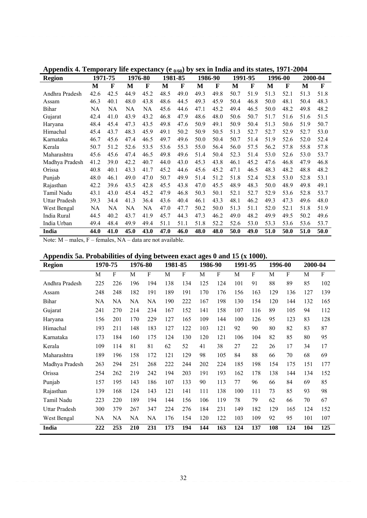| <b>Region</b>        |      | 1971-75      | 1976-80 |      | 1981-85 |      | 1986-90 |      | 1991-95 |             | 1996-00 |      | 2000-04 |      |
|----------------------|------|--------------|---------|------|---------|------|---------|------|---------|-------------|---------|------|---------|------|
|                      | M    | $\mathbf{F}$ | M       | F    | M       | F    | М       | F    | M       | $\mathbf F$ | M       | F    | M       | F    |
| Andhra Pradesh       | 42.6 | 42.5         | 44.9    | 45.2 | 48.5    | 49.0 | 49.3    | 49.8 | 50.7    | 51.9        | 51.3    | 52.1 | 51.3    | 51.8 |
| Assam                | 46.3 | 40.1         | 48.0    | 43.8 | 48.6    | 44.5 | 49.3    | 45.9 | 50.4    | 46.8        | 50.0    | 48.1 | 50.4    | 48.3 |
| <b>Bihar</b>         | NA   | NA           | NA      | NA   | 45.6    | 44.6 | 47.1    | 45.2 | 49.4    | 46.5        | 50.0    | 48.2 | 49.8    | 48.2 |
| Gujarat              | 42.4 | 41.0         | 43.9    | 43.2 | 46.8    | 47.9 | 48.6    | 48.0 | 50.6    | 50.7        | 51.7    | 51.6 | 51.6    | 51.5 |
| Haryana              | 48.4 | 45.4         | 47.3    | 43.5 | 49.8    | 47.6 | 50.9    | 49.1 | 50.9    | 50.4        | 51.3    | 50.6 | 51.9    | 50.7 |
| Himachal             | 45.4 | 43.7         | 48.3    | 45.9 | 49.1    | 50.2 | 50.9    | 50.5 | 51.3    | 52.7        | 52.7    | 52.9 | 52.7    | 53.0 |
| Karnataka            | 46.7 | 45.6         | 47.4    | 46.5 | 49.7    | 49.6 | 50.0    | 50.4 | 50.7    | 51.4        | 51.9    | 52.6 | 52.0    | 52.4 |
| Kerala               | 50.7 | 51.2         | 52.6    | 53.5 | 53.6    | 55.3 | 55.0    | 56.4 | 56.0    | 57.5        | 56.2    | 57.8 | 55.8    | 57.8 |
| Maharashtra          | 45.6 | 45.6         | 47.4    | 46.5 | 49.8    | 49.6 | 51.4    | 50.4 | 52.3    | 51.4        | 53.0    | 52.6 | 53.0    | 53.7 |
| Madhya Pradesh       | 41.2 | 39.0         | 42.2    | 40.7 | 44.0    | 43.0 | 45.3    | 43.8 | 46.1    | 45.2        | 47.6    | 46.8 | 47.9    | 46.8 |
| Orissa               | 40.8 | 40.1         | 43.3    | 41.7 | 45.2    | 44.6 | 45.6    | 45.2 | 47.1    | 46.5        | 48.3    | 48.2 | 48.8    | 48.2 |
| Punjab               | 48.0 | 46.1         | 49.0    | 47.0 | 50.7    | 49.9 | 51.4    | 51.2 | 51.8    | 52.4        | 52.8    | 53.0 | 52.8    | 53.1 |
| Rajasthan            | 42.2 | 39.6         | 43.5    | 42.8 | 45.5    | 43.8 | 47.0    | 45.5 | 48.9    | 48.3        | 50.0    | 48.9 | 49.8    | 49.1 |
| Tamil Nadu           | 43.1 | 43.0         | 45.4    | 45.2 | 47.9    | 46.8 | 50.3    | 50.1 | 52.1    | 52.7        | 52.9    | 53.6 | 52.8    | 53.7 |
| <b>Uttar Pradesh</b> | 39.3 | 34.4         | 41.3    | 36.4 | 43.6    | 40.4 | 46.1    | 43.3 | 48.1    | 46.2        | 49.3    | 47.3 | 49.6    | 48.0 |
| West Bengal          | NA   | NA           | NA      | NA   | 47.0    | 47.7 | 50.2    | 50.0 | 51.3    | 51.1        | 52.0    | 52.1 | 51.8    | 51.9 |
| India Rural          | 44.5 | 40.2         | 43.7    | 41.9 | 45.7    | 44.3 | 47.3    | 46.2 | 49.0    | 48.2        | 49.9    | 49.5 | 50.2    | 49.6 |
| India Urban          | 49.4 | 48.4         | 49.9    | 49.4 | 51.1    | 51.1 | 51.8    | 52.2 | 52.6    | 53.0        | 53.3    | 53.6 | 53.6    | 53.7 |
| India                | 44.0 | 41.0         | 45.0    | 43.0 | 47.0    | 46.0 | 48.0    | 48.0 | 50.0    | 49.0        | 51.0    | 50.0 | 51.0    | 50.0 |

Appendix 4. Temporary life expectancy (e  $_{0/60}$ ) by sex in India and its states, 1971-2004

Note: M – males, F – females, NA – data are not available.

# **Appendix 5a. Probabilities of dying between exact ages 0 and 15 (x 1000).**

| <b>Region</b>        | 1970-75 |     | 1976-80 |     | 1981-85 |              | 1986-90 |     | 1991-95 |     | 1996-00 |              | 2000-04 |     |
|----------------------|---------|-----|---------|-----|---------|--------------|---------|-----|---------|-----|---------|--------------|---------|-----|
|                      | M       | F   | M       | F   | M       | $\mathbf{F}$ | M       | F   | M       | F   | M       | $\mathbf{F}$ | M       | F   |
| Andhra Pradesh       | 225     | 226 | 196     | 194 | 138     | 134          | 125     | 124 | 101     | 91  | 88      | 89           | 85      | 102 |
| Assam                | 248     | 248 | 182     | 191 | 189     | 191          | 170     | 176 | 156     | 163 | 129     | 136          | 127     | 139 |
| <b>Bihar</b>         | NA      | NA  | NA      | NA  | 190     | 222          | 167     | 198 | 130     | 154 | 120     | 144          | 132     | 165 |
| Gujarat              | 241     | 270 | 214     | 234 | 167     | 152          | 141     | 158 | 107     | 116 | 89      | 105          | 94      | 112 |
| Haryana              | 156     | 201 | 170     | 229 | 127     | 165          | 109     | 144 | 100     | 126 | 95      | 123          | 83      | 128 |
| Himachal             | 193     | 211 | 148     | 183 | 127     | 122          | 103     | 121 | 92      | 90  | 80      | 82           | 83      | 87  |
| Karnataka            | 173     | 184 | 160     | 175 | 124     | 130          | 120     | 121 | 106     | 104 | 82      | 85           | 80      | 95  |
| Kerala               | 109     | 114 | 81      | 81  | 62      | 52           | 41      | 38  | 27      | 22  | 26      | 17           | 34      | 17  |
| Maharashtra          | 189     | 196 | 158     | 172 | 121     | 129          | 98      | 105 | 84      | 88  | 66      | 70           | 68      | 69  |
| Madhya Pradesh       | 263     | 294 | 251     | 268 | 222     | 244          | 202     | 224 | 185     | 198 | 154     | 175          | 151     | 177 |
| Orissa               | 254     | 262 | 219     | 242 | 194     | 203          | 191     | 193 | 162     | 178 | 138     | 144          | 134     | 152 |
| Punjab               | 157     | 195 | 143     | 186 | 107     | 133          | 90      | 113 | 77      | 96  | 66      | 84           | 69      | 85  |
| Rajasthan            | 139     | 168 | 124     | 143 | 121     | 141          | 111     | 138 | 100     | 111 | 73      | 85           | 93      | 98  |
| Tamil Nadu           | 223     | 220 | 189     | 194 | 144     | 156          | 106     | 119 | 78      | 79  | 62      | 66           | 70      | 67  |
| <b>Uttar Pradesh</b> | 300     | 379 | 267     | 347 | 224     | 276          | 184     | 231 | 149     | 182 | 129     | 165          | 124     | 152 |
| West Bengal          | NA      | NA  | NA      | NA  | 176     | 154          | 120     | 122 | 103     | 109 | 92      | 95           | 101     | 107 |
| India                | 222     | 253 | 210     | 231 | 173     | 194          | 144     | 163 | 124     | 137 | 108     | 124          | 104     | 125 |